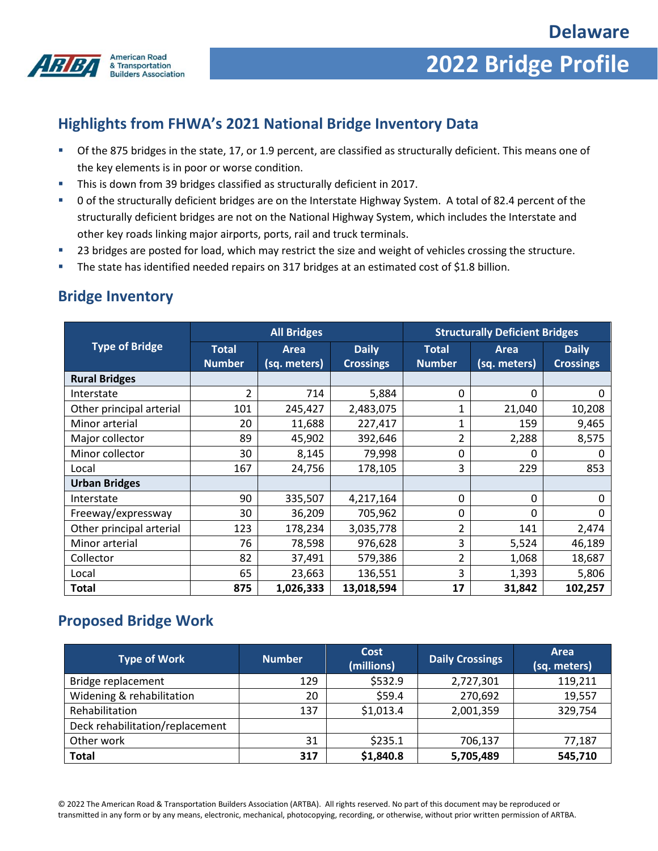

## **2022 Bridge Profile**

### **Highlights from FHWA's 2021 National Bridge Inventory Data**

- Of the 875 bridges in the state, 17, or 1.9 percent, are classified as structurally deficient. This means one of the key elements is in poor or worse condition.
- This is down from 39 bridges classified as structurally deficient in 2017.
- 0 of the structurally deficient bridges are on the Interstate Highway System. A total of 82.4 percent of the structurally deficient bridges are not on the National Highway System, which includes the Interstate and other key roads linking major airports, ports, rail and truck terminals.
- 23 bridges are posted for load, which may restrict the size and weight of vehicles crossing the structure.
- The state has identified needed repairs on 317 bridges at an estimated cost of \$1.8 billion.

#### **Bridge Inventory**

|                          | <b>All Bridges</b>            |                             |                                  | <b>Structurally Deficient Bridges</b> |                      |                                  |
|--------------------------|-------------------------------|-----------------------------|----------------------------------|---------------------------------------|----------------------|----------------------------------|
| <b>Type of Bridge</b>    | <b>Total</b><br><b>Number</b> | <b>Area</b><br>(sq. meters) | <b>Daily</b><br><b>Crossings</b> | <b>Total</b><br><b>Number</b>         | Area<br>(sq. meters) | <b>Daily</b><br><b>Crossings</b> |
| <b>Rural Bridges</b>     |                               |                             |                                  |                                       |                      |                                  |
| Interstate               | $\overline{\mathcal{L}}$      | 714                         | 5,884                            | 0                                     | 0                    | 0                                |
| Other principal arterial | 101                           | 245,427                     | 2,483,075                        | 1                                     | 21,040               | 10,208                           |
| Minor arterial           | 20                            | 11,688                      | 227,417                          | 1                                     | 159                  | 9,465                            |
| Major collector          | 89                            | 45,902                      | 392,646                          | $\overline{2}$                        | 2,288                | 8,575                            |
| Minor collector          | 30                            | 8,145                       | 79,998                           | 0                                     | 0                    | O                                |
| Local                    | 167                           | 24,756                      | 178,105                          | 3                                     | 229                  | 853                              |
| <b>Urban Bridges</b>     |                               |                             |                                  |                                       |                      |                                  |
| Interstate               | 90                            | 335,507                     | 4,217,164                        | 0                                     | 0                    | 0                                |
| Freeway/expressway       | 30                            | 36,209                      | 705,962                          | 0                                     | 0                    | 0                                |
| Other principal arterial | 123                           | 178,234                     | 3,035,778                        | $\overline{2}$                        | 141                  | 2,474                            |
| Minor arterial           | 76                            | 78,598                      | 976,628                          | 3                                     | 5,524                | 46,189                           |
| Collector                | 82                            | 37,491                      | 579,386                          | $\overline{2}$                        | 1,068                | 18,687                           |
| Local                    | 65                            | 23,663                      | 136,551                          | 3                                     | 1,393                | 5,806                            |
| Total                    | 875                           | 1,026,333                   | 13,018,594                       | 17                                    | 31,842               | 102,257                          |

#### **Proposed Bridge Work**

| <b>Type of Work</b>             | <b>Number</b> | Cost<br>(millions) | <b>Daily Crossings</b> | Area<br>(sq. meters) |
|---------------------------------|---------------|--------------------|------------------------|----------------------|
| Bridge replacement              | 129           | \$532.9            | 2,727,301              | 119,211              |
| Widening & rehabilitation       | 20            | \$59.4             | 270,692                | 19,557               |
| Rehabilitation                  | 137           | \$1,013.4          | 2,001,359              | 329,754              |
| Deck rehabilitation/replacement |               |                    |                        |                      |
| Other work                      | 31            | \$235.1            | 706,137                | 77,187               |
| <b>Total</b>                    | 317           | \$1,840.8          | 5,705,489              | 545,710              |